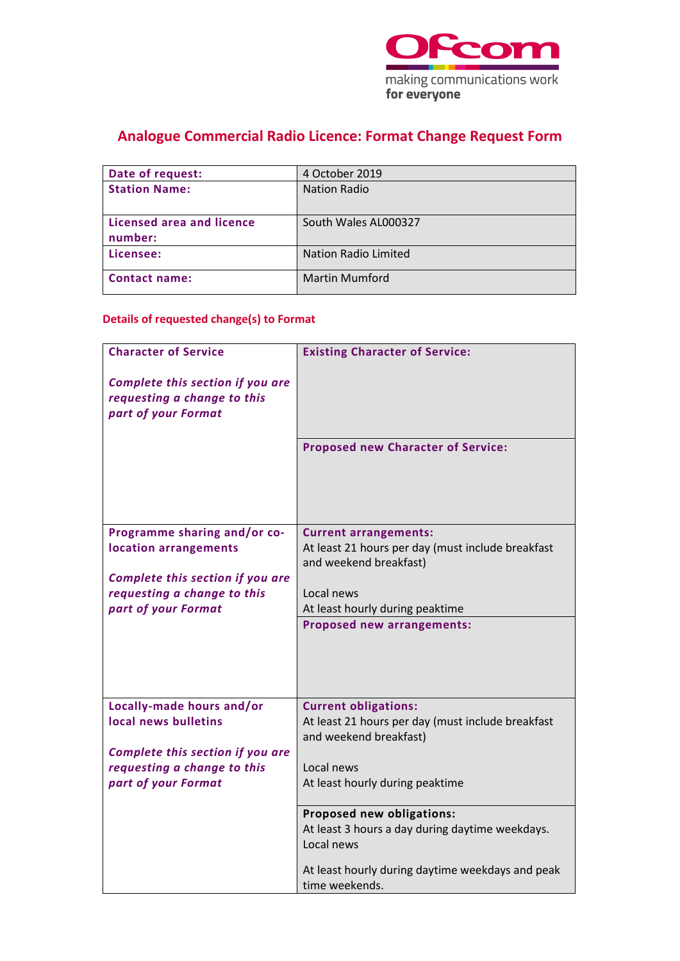

# **Analogue Commercial Radio Licence: Format Change Request Form**

| Date of request:                     | 4 October 2019              |
|--------------------------------------|-----------------------------|
| <b>Station Name:</b>                 | <b>Nation Radio</b>         |
| Licensed area and licence<br>number: | South Wales AL000327        |
| Licensee:                            | <b>Nation Radio Limited</b> |
| <b>Contact name:</b>                 | <b>Martin Mumford</b>       |

### **Details of requested change(s) to Format**

| <b>Character of Service</b><br>Complete this section if you are<br>requesting a change to this<br>part of your Format                           | <b>Existing Character of Service:</b><br><b>Proposed new Character of Service:</b>                                                                                                                |
|-------------------------------------------------------------------------------------------------------------------------------------------------|---------------------------------------------------------------------------------------------------------------------------------------------------------------------------------------------------|
| Programme sharing and/or co-<br>location arrangements<br>Complete this section if you are<br>requesting a change to this<br>part of your Format | <b>Current arrangements:</b><br>At least 21 hours per day (must include breakfast<br>and weekend breakfast)<br>Local news<br>At least hourly during peaktime<br><b>Proposed new arrangements:</b> |
| Locally-made hours and/or<br>local news bulletins<br>Complete this section if you are<br>requesting a change to this<br>part of your Format     | <b>Current obligations:</b><br>At least 21 hours per day (must include breakfast<br>and weekend breakfast)<br>Local news<br>At least hourly during peaktime                                       |
|                                                                                                                                                 | Proposed new obligations:<br>At least 3 hours a day during daytime weekdays.<br>Local news<br>At least hourly during daytime weekdays and peak<br>time weekends.                                  |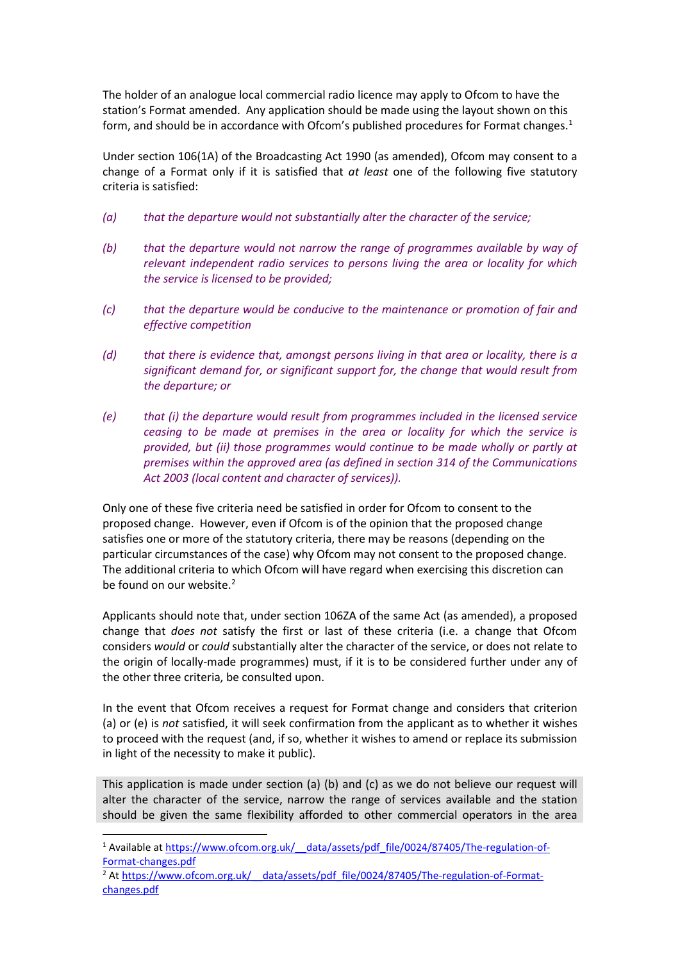The holder of an analogue local commercial radio licence may apply to Ofcom to have the station's Format amended. Any application should be made using the layout shown on this form, and should be in accordance with Ofcom's published procedures for Format changes.<sup>[1](#page-1-0)</sup>

Under section 106(1A) of the Broadcasting Act 1990 (as amended), Ofcom may consent to a change of a Format only if it is satisfied that *at least* one of the following five statutory criteria is satisfied:

- *(a) that the departure would not substantially alter the character of the service;*
- *(b) that the departure would not narrow the range of programmes available by way of relevant independent radio services to persons living the area or locality for which the service is licensed to be provided;*
- *(c) that the departure would be conducive to the maintenance or promotion of fair and effective competition*
- *(d) that there is evidence that, amongst persons living in that area or locality, there is a significant demand for, or significant support for, the change that would result from the departure; or*
- *(e) that (i) the departure would result from programmes included in the licensed service ceasing to be made at premises in the area or locality for which the service is provided, but (ii) those programmes would continue to be made wholly or partly at premises within the approved area (as defined in section 314 of the Communications Act 2003 (local content and character of services)).*

Only one of these five criteria need be satisfied in order for Ofcom to consent to the proposed change. However, even if Ofcom is of the opinion that the proposed change satisfies one or more of the statutory criteria, there may be reasons (depending on the particular circumstances of the case) why Ofcom may not consent to the proposed change. The additional criteria to which Ofcom will have regard when exercising this discretion can be found on our website.<sup>[2](#page-1-1)</sup>

Applicants should note that, under section 106ZA of the same Act (as amended), a proposed change that *does not* satisfy the first or last of these criteria (i.e. a change that Ofcom considers *would* or *could* substantially alter the character of the service, or does not relate to the origin of locally-made programmes) must, if it is to be considered further under any of the other three criteria, be consulted upon.

In the event that Ofcom receives a request for Format change and considers that criterion (a) or (e) is *not* satisfied, it will seek confirmation from the applicant as to whether it wishes to proceed with the request (and, if so, whether it wishes to amend or replace its submission in light of the necessity to make it public).

This application is made under section (a) (b) and (c) as we do not believe our request will alter the character of the service, narrow the range of services available and the station should be given the same flexibility afforded to other commercial operators in the area

 $\overline{a}$ 

<span id="page-1-0"></span><sup>&</sup>lt;sup>1</sup> Available at https://www.ofcom.org.uk/ data/assets/pdf file/0024/87405/The-regulation-of-[Format-changes.pdf](https://www.ofcom.org.uk/__data/assets/pdf_file/0024/87405/The-regulation-of-Format-changes.pdf) 2

<span id="page-1-1"></span><sup>&</sup>lt;sup>2</sup> At https://www.ofcom.org.uk/ data/assets/pdf file/0024/87405/The-regulation-of-Format[changes.pdf](https://www.ofcom.org.uk/__data/assets/pdf_file/0024/87405/The-regulation-of-Format-changes.pdf)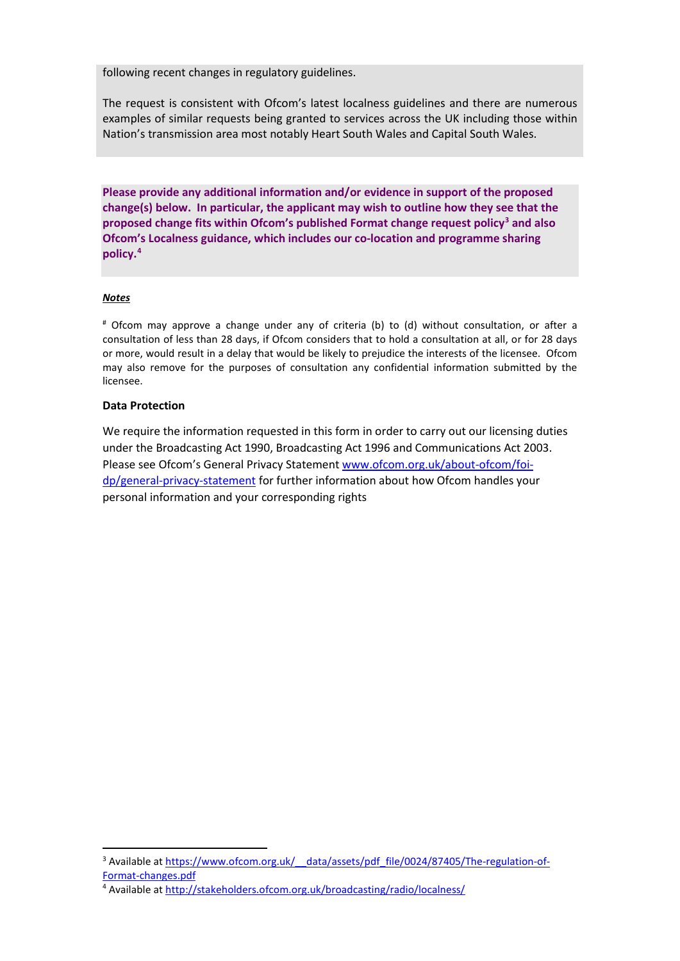following recent changes in regulatory guidelines.

The request is consistent with Ofcom's latest localness guidelines and there are numerous examples of similar requests being granted to services across the UK including those within Nation's transmission area most notably Heart South Wales and Capital South Wales.

**Please provide any additional information and/or evidence in support of the proposed change(s) below. In particular, the applicant may wish to outline how they see that the proposed change fits within Ofcom's published Format change request polic[y3](#page-2-0) and also Ofcom's Localness guidance, which includes our co-location and programme sharing policy. [4](#page-2-1)** 

### *Notes*

 $\overline{a}$ 

# Ofcom may approve a change under any of criteria (b) to (d) without consultation, or after a consultation of less than 28 days, if Ofcom considers that to hold a consultation at all, or for 28 days or more, would result in a delay that would be likely to prejudice the interests of the licensee. Ofcom may also remove for the purposes of consultation any confidential information submitted by the licensee.

#### **Data Protection**

We require the information requested in this form in order to carry out our licensing duties under the Broadcasting Act 1990, Broadcasting Act 1996 and Communications Act 2003. Please see Ofcom's General Privacy Statement [www.ofcom.org.uk/about-ofcom/foi](http://www.ofcom.org.uk/about-ofcom/foi-dp/general-privacy-statement)[dp/general-privacy-statement](http://www.ofcom.org.uk/about-ofcom/foi-dp/general-privacy-statement) for further information about how Ofcom handles your personal information and your corresponding rights

<span id="page-2-0"></span><sup>&</sup>lt;sup>3</sup> Available at https://www.ofcom.org.uk/ data/assets/pdf\_file/0024/87405/The-regulation-ofFormat-changes.pdf<br><sup>4</sup> Available at<http://stakeholders.ofcom.org.uk/broadcasting/radio/localness/>

<span id="page-2-1"></span>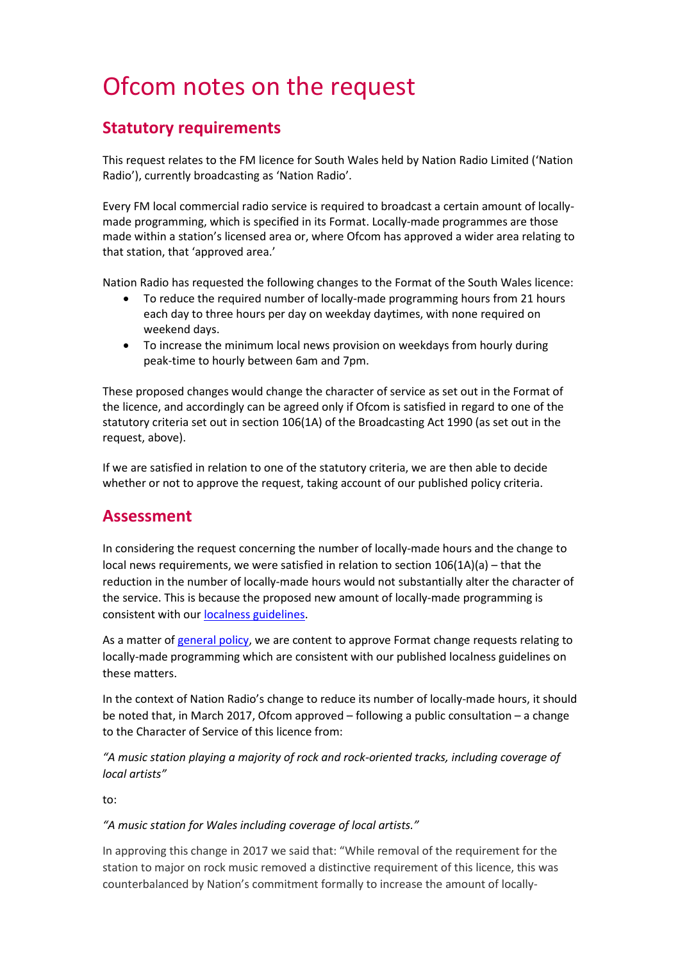# Ofcom notes on the request

## **Statutory requirements**

This request relates to the FM licence for South Wales held by Nation Radio Limited ('Nation Radio'), currently broadcasting as 'Nation Radio'.

Every FM local commercial radio service is required to broadcast a certain amount of locallymade programming, which is specified in its Format. Locally-made programmes are those made within a station's licensed area or, where Ofcom has approved a wider area relating to that station, that 'approved area.'

Nation Radio has requested the following changes to the Format of the South Wales licence:

- To reduce the required number of locally-made programming hours from 21 hours each day to three hours per day on weekday daytimes, with none required on weekend days.
- To increase the minimum local news provision on weekdays from hourly during peak-time to hourly between 6am and 7pm.

These proposed changes would change the character of service as set out in the Format of the licence, and accordingly can be agreed only if Ofcom is satisfied in regard to one of the statutory criteria set out in section 106(1A) of the Broadcasting Act 1990 (as set out in the request, above).

If we are satisfied in relation to one of the statutory criteria, we are then able to decide whether or not to approve the request, taking account of our published policy criteria.

## **Assessment**

In considering the request concerning the number of locally-made hours and the change to local news requirements, we were satisfied in relation to section  $106(1A)(a)$  – that the reduction in the number of locally-made hours would not substantially alter the character of the service. This is because the proposed new amount of locally-made programming is consistent with ou[r localness guidelines.](https://www.ofcom.org.uk/tv-radio-and-on-demand/information-for-industry/radio-broadcasters/localness)

As a matter o[f general policy,](https://www.ofcom.org.uk/__data/assets/pdf_file/0024/87405/The-regulation-of-Format-changes.pdf) we are content to approve Format change requests relating to locally-made programming which are consistent with our published localness guidelines on these matters.

In the context of Nation Radio's change to reduce its number of locally-made hours, it should be noted that, in March 2017, Ofcom approved – following a public consultation – a change to the Character of Service of this licence from:

*"A music station playing a majority of rock and rock-oriented tracks, including coverage of local artists"*

to:

### *"A music station for Wales including coverage of local artists."*

In approving this change in 2017 we said that: "While removal of the requirement for the station to major on rock music removed a distinctive requirement of this licence, this was counterbalanced by Nation's commitment formally to increase the amount of locally